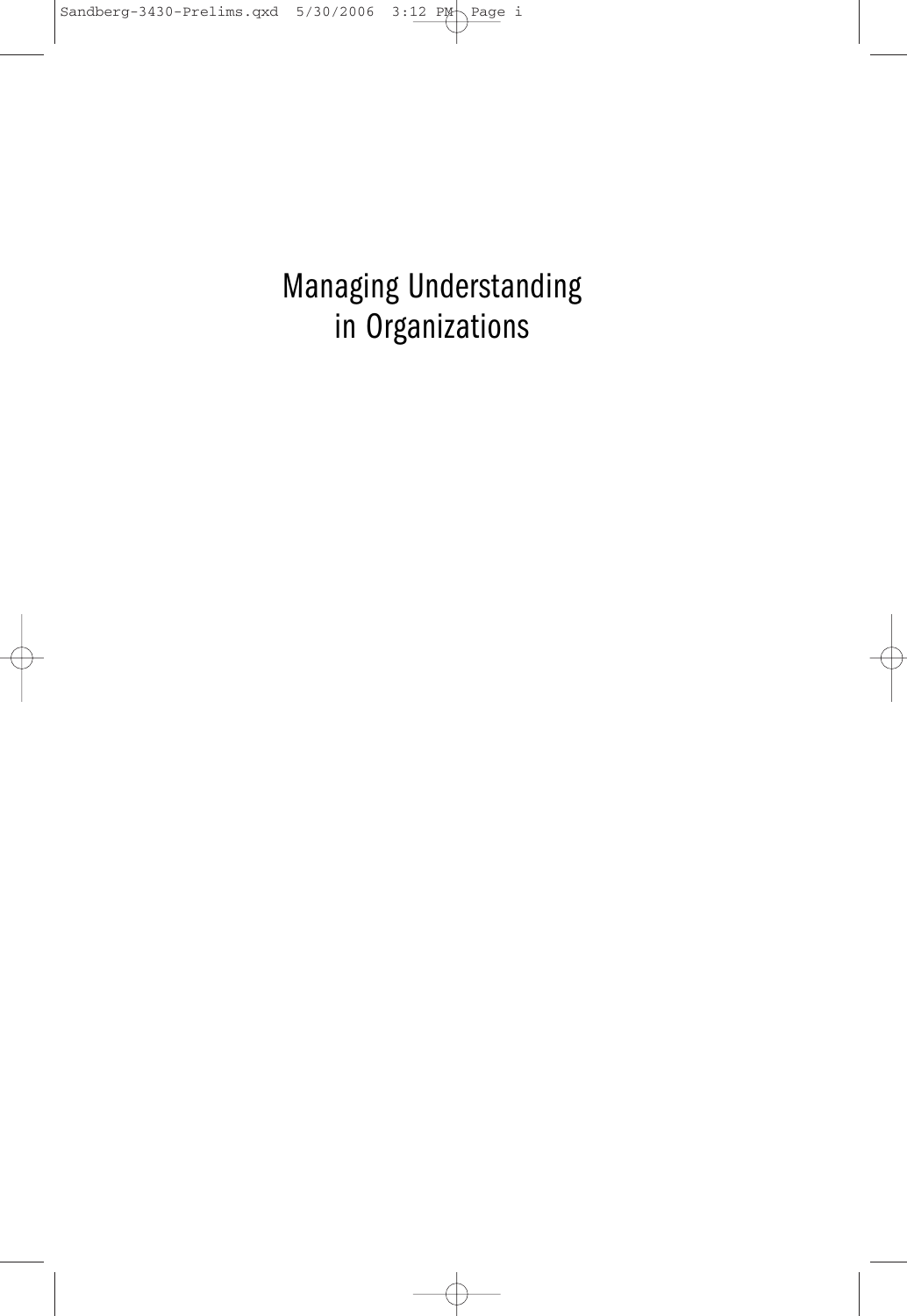Managing Understanding in Organizations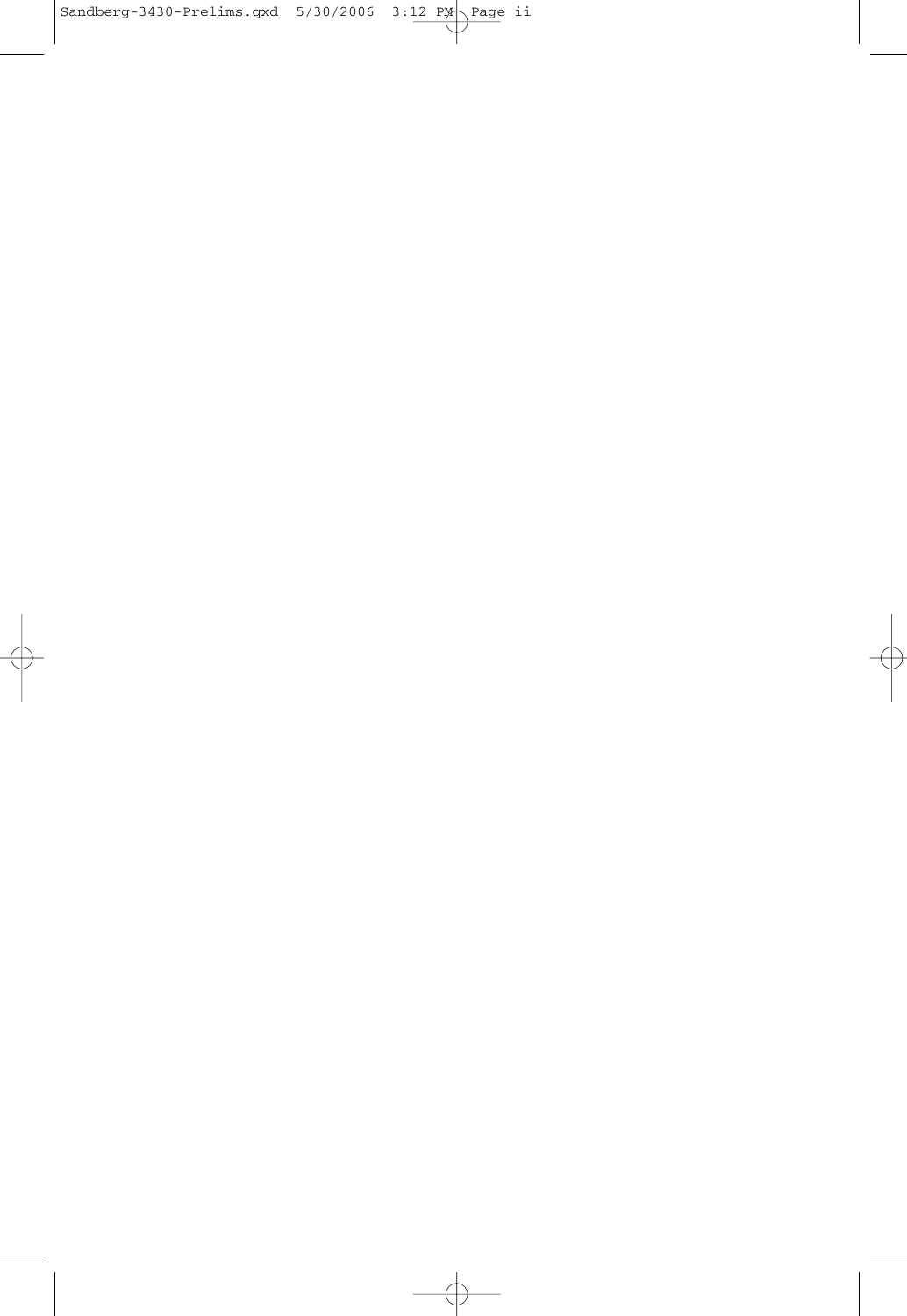Sandberg-3430-Prelims.qxd 5/30/2006 3:12 PM Page ii

 $\overline{\varphi}$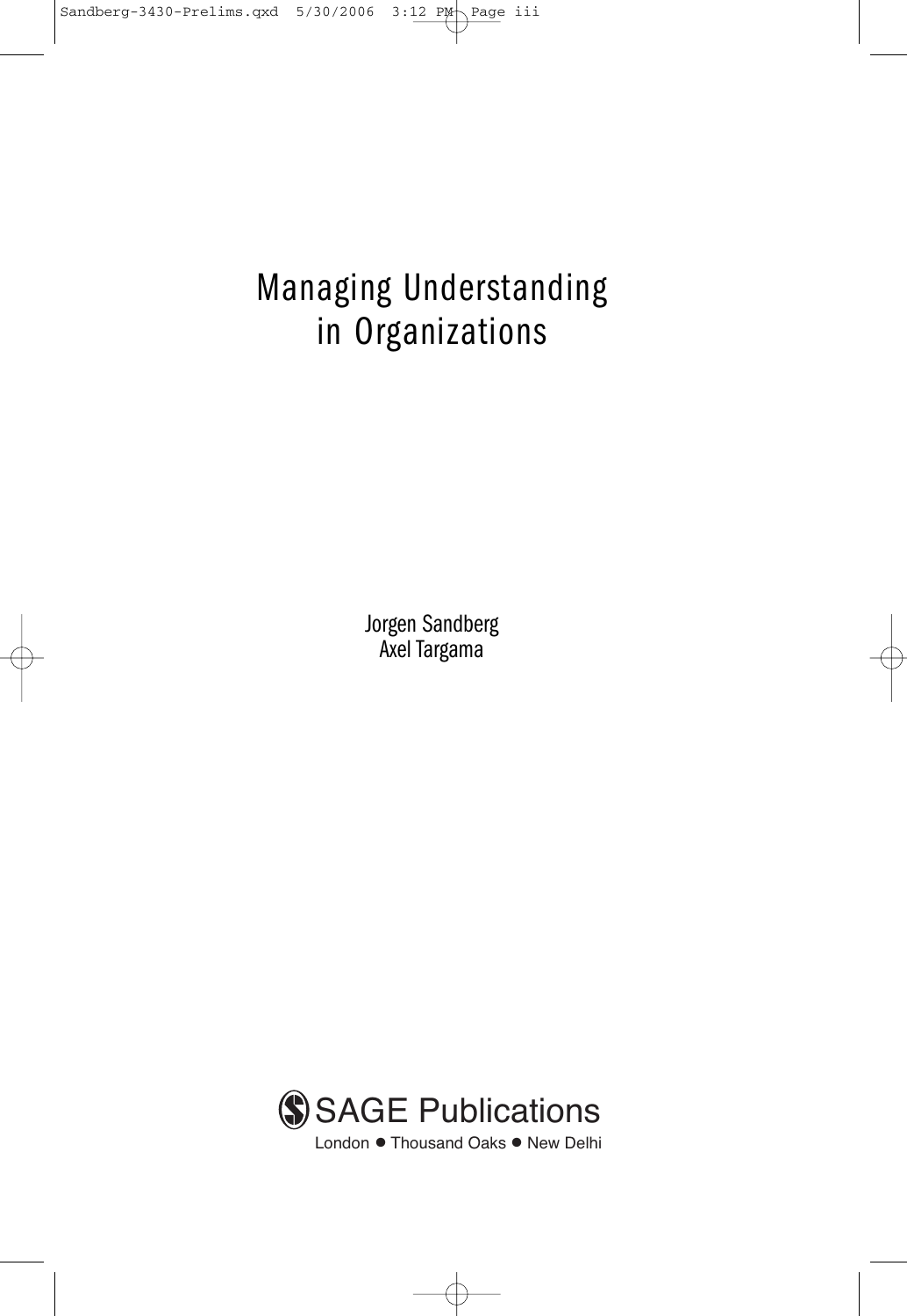## Managing Understanding in Organizations

Jorgen Sandberg Axel Targama

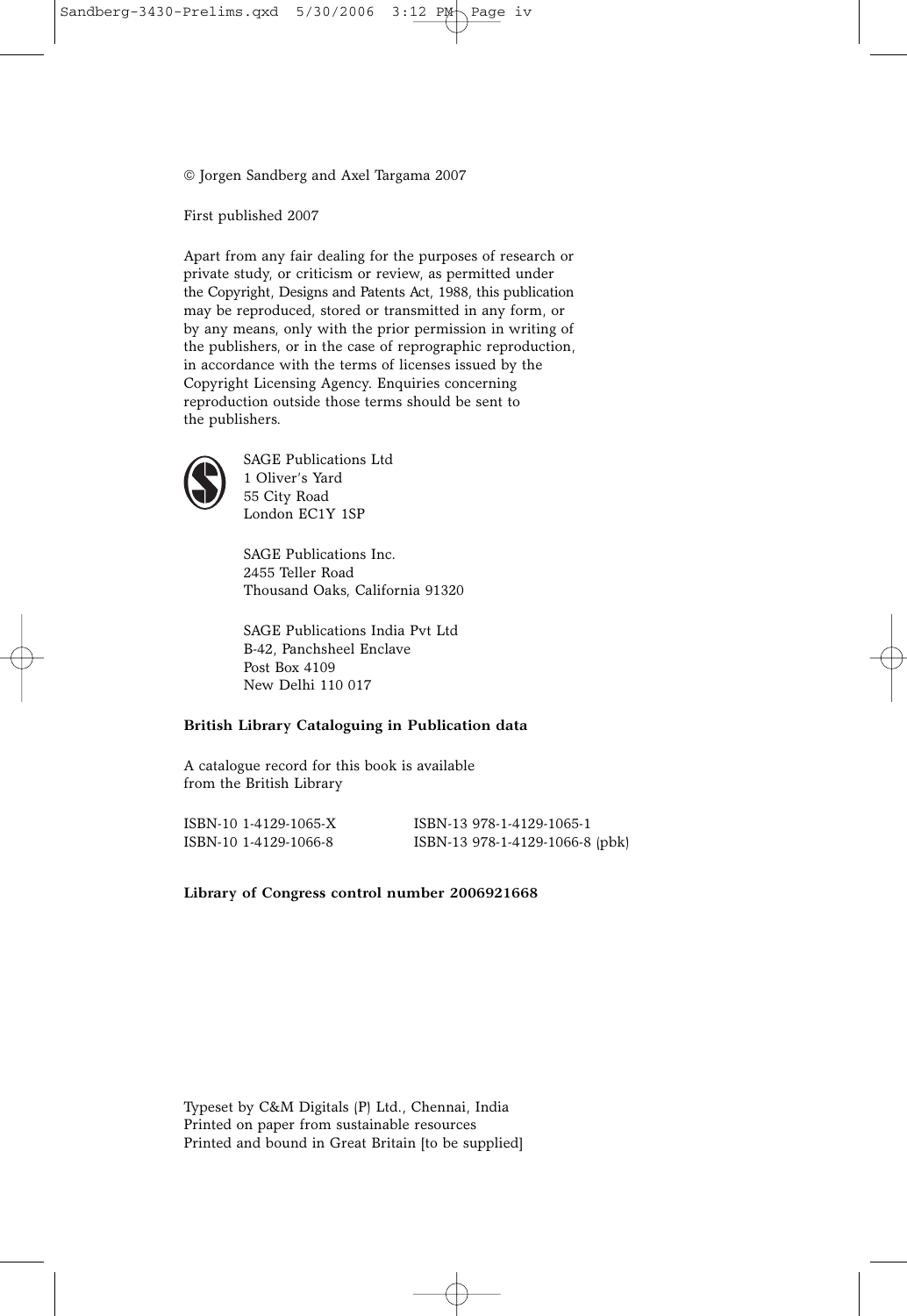© Jorgen Sandberg and Axel Targama 2007

First published 2007

Apart from any fair dealing for the purposes of research or private study, or criticism or review, as permitted under the Copyright, Designs and Patents Act, 1988, this publication may be reproduced, stored or transmitted in any form, or by any means, only with the prior permission in writing of the publishers, or in the case of reprographic reproduction, in accordance with the terms of licenses issued by the Copyright Licensing Agency. Enquiries concerning reproduction outside those terms should be sent to the publishers.



SAGE Publications Ltd 1 Oliver's Yard 55 City Road London EC1Y 1SP

SAGE Publications Inc. 2455 Teller Road Thousand Oaks, California 91320

SAGE Publications India Pvt Ltd B-42, Panchsheel Enclave Post Box 4109 New Delhi 110 017

## **British Library Cataloguing in Publication data**

A catalogue record for this book is available from the British Library

| ISBN-10 1-4129-1065-X | ISBN-13 978-1-4129-1065-1       |
|-----------------------|---------------------------------|
| ISBN-10 1-4129-1066-8 | ISBN-13 978-1-4129-1066-8 (pbk) |

**Library of Congress control number 2006921668**

Typeset by C&M Digitals (P) Ltd., Chennai, India Printed on paper from sustainable resources Printed and bound in Great Britain [to be supplied]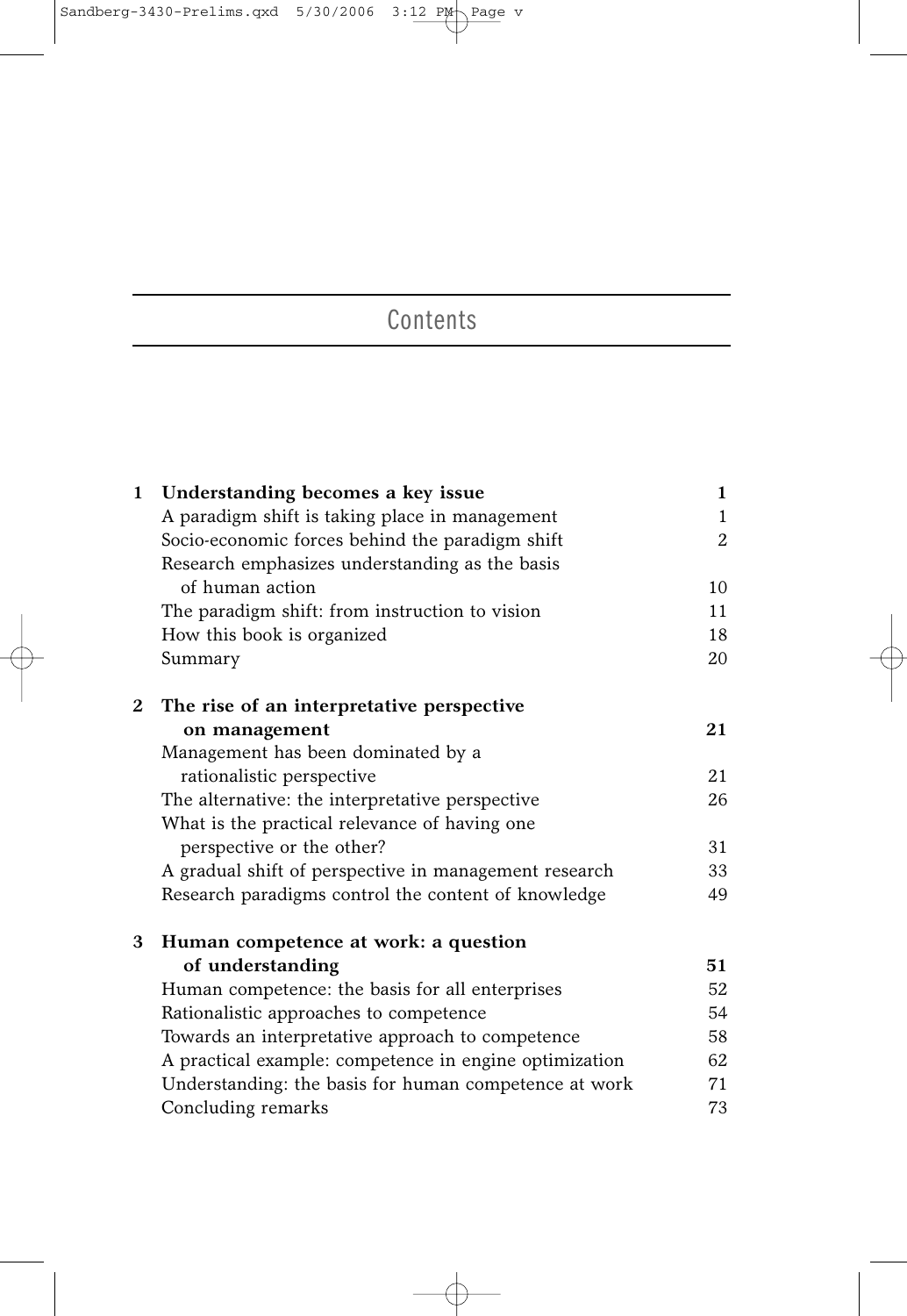Sandberg-3430-Prelims.qxd 5/30/2006 3:12 PM Page v

## Contents

| $\mathbf 1$           | Understanding becomes a key issue                      | 1              |
|-----------------------|--------------------------------------------------------|----------------|
|                       | A paradigm shift is taking place in management         | $\mathbf{1}$   |
|                       | Socio-economic forces behind the paradigm shift        | $\overline{2}$ |
|                       | Research emphasizes understanding as the basis         |                |
|                       | of human action                                        | 10             |
|                       | The paradigm shift: from instruction to vision         | 11             |
|                       | How this book is organized                             | 18             |
|                       | Summary                                                | 20             |
| $\mathbf{2}^{\prime}$ | The rise of an interpretative perspective              |                |
|                       | on management                                          | 21             |
|                       | Management has been dominated by a                     |                |
|                       | rationalistic perspective                              | 21             |
|                       | The alternative: the interpretative perspective        | 26             |
|                       | What is the practical relevance of having one          |                |
|                       | perspective or the other?                              | 31             |
|                       | A gradual shift of perspective in management research  | 33             |
|                       | Research paradigms control the content of knowledge    | 49             |
| 3                     | Human competence at work: a question                   |                |
|                       | of understanding                                       | 51             |
|                       | Human competence: the basis for all enterprises        | 52             |
|                       | Rationalistic approaches to competence                 | 54             |
|                       | Towards an interpretative approach to competence       | 58             |
|                       | A practical example: competence in engine optimization | 62             |
|                       | Understanding: the basis for human competence at work  | 71             |
|                       | Concluding remarks                                     | 73             |

Æ